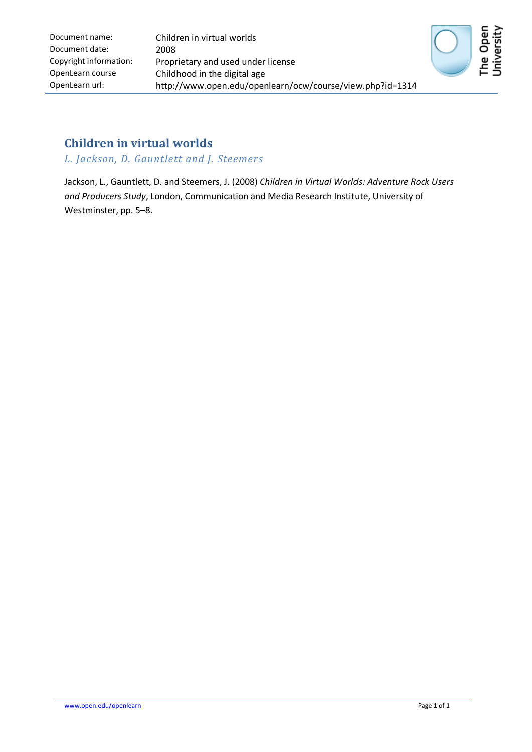

# **Children in virtual worlds**

*L. Jackson, D. Gauntlett and J. Steemers*

Jackson, L., Gauntlett, D. and Steemers, J. (2008) *Children in Virtual Worlds: Adventure Rock Users and Producers Study*, London, Communication and Media Research Institute, University of Westminster, pp. 5–8.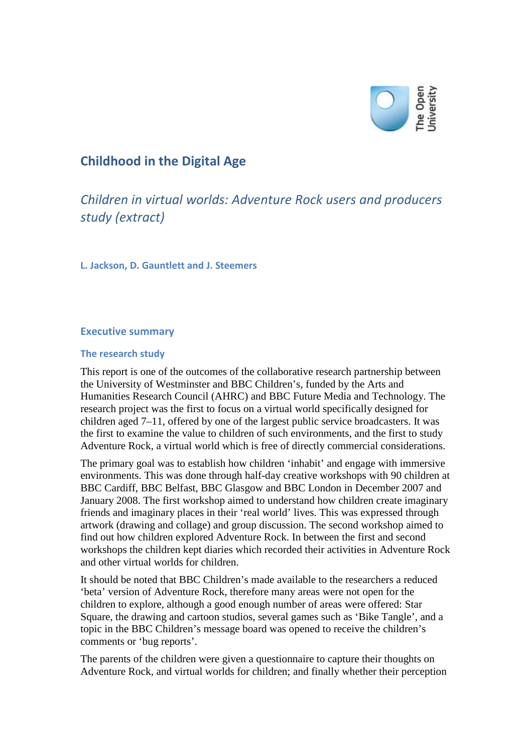

# **Childhood in the Digital Age**

*Children in virtual worlds: Adventure Rock users and producers study (extract)*

**L. Jackson, D. Gauntlett and J. Steemers**

## **Executive summary**

### **The research study**

This report is one of the outcomes of the collaborative research partnership between the University of Westminster and BBC Children's, funded by the Arts and Humanities Research Council (AHRC) and BBC Future Media and Technology. The research project was the first to focus on a virtual world specifically designed for children aged 7–11, offered by one of the largest public service broadcasters. It was the first to examine the value to children of such environments, and the first to study Adventure Rock, a virtual world which is free of directly commercial considerations.

The primary goal was to establish how children 'inhabit' and engage with immersive environments. This was done through half-day creative workshops with 90 children at BBC Cardiff, BBC Belfast, BBC Glasgow and BBC London in December 2007 and January 2008. The first workshop aimed to understand how children create imaginary friends and imaginary places in their 'real world' lives. This was expressed through artwork (drawing and collage) and group discussion. The second workshop aimed to find out how children explored Adventure Rock. In between the first and second workshops the children kept diaries which recorded their activities in Adventure Rock and other virtual worlds for children.

It should be noted that BBC Children's made available to the researchers a reduced 'beta' version of Adventure Rock, therefore many areas were not open for the children to explore, although a good enough number of areas were offered: Star Square, the drawing and cartoon studios, several games such as 'Bike Tangle', and a topic in the BBC Children's message board was opened to receive the children's comments or 'bug reports'.

The parents of the children were given a questionnaire to capture their thoughts on Adventure Rock, and virtual worlds for children; and finally whether their perception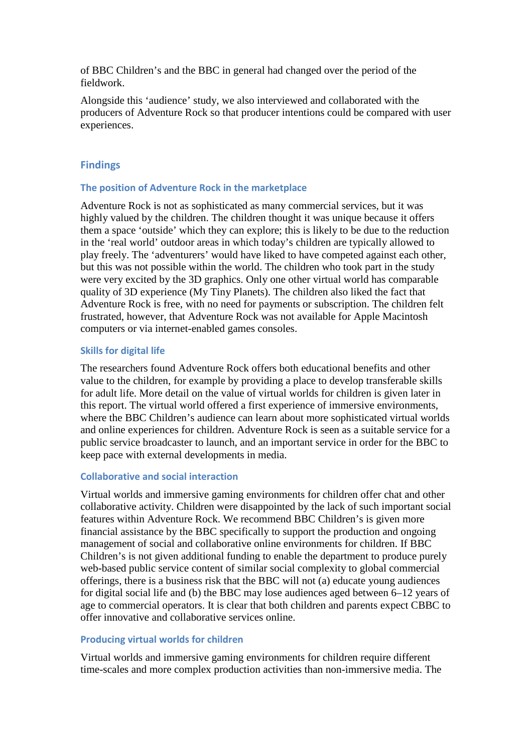of BBC Children's and the BBC in general had changed over the period of the fieldwork.

Alongside this 'audience' study, we also interviewed and collaborated with the producers of Adventure Rock so that producer intentions could be compared with user experiences.

## **Findings**

## **The position of Adventure Rock in the marketplace**

Adventure Rock is not as sophisticated as many commercial services, but it was highly valued by the children. The children thought it was unique because it offers them a space 'outside' which they can explore; this is likely to be due to the reduction in the 'real world' outdoor areas in which today's children are typically allowed to play freely. The 'adventurers' would have liked to have competed against each other, but this was not possible within the world. The children who took part in the study were very excited by the 3D graphics. Only one other virtual world has comparable quality of 3D experience (My Tiny Planets). The children also liked the fact that Adventure Rock is free, with no need for payments or subscription. The children felt frustrated, however, that Adventure Rock was not available for Apple Macintosh computers or via internet-enabled games consoles.

## **Skills for digital life**

The researchers found Adventure Rock offers both educational benefits and other value to the children, for example by providing a place to develop transferable skills for adult life. More detail on the value of virtual worlds for children is given later in this report. The virtual world offered a first experience of immersive environments, where the BBC Children's audience can learn about more sophisticated virtual worlds and online experiences for children. Adventure Rock is seen as a suitable service for a public service broadcaster to launch, and an important service in order for the BBC to keep pace with external developments in media.

### **Collaborative and social interaction**

Virtual worlds and immersive gaming environments for children offer chat and other collaborative activity. Children were disappointed by the lack of such important social features within Adventure Rock. We recommend BBC Children's is given more financial assistance by the BBC specifically to support the production and ongoing management of social and collaborative online environments for children. If BBC Children's is not given additional funding to enable the department to produce purely web-based public service content of similar social complexity to global commercial offerings, there is a business risk that the BBC will not (a) educate young audiences for digital social life and (b) the BBC may lose audiences aged between 6–12 years of age to commercial operators. It is clear that both children and parents expect CBBC to offer innovative and collaborative services online.

## **Producing virtual worlds for children**

Virtual worlds and immersive gaming environments for children require different time-scales and more complex production activities than non-immersive media. The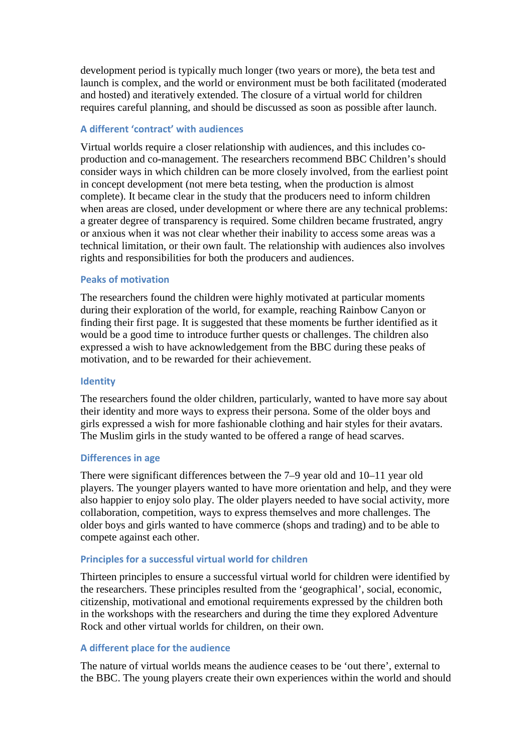development period is typically much longer (two years or more), the beta test and launch is complex, and the world or environment must be both facilitated (moderated and hosted) and iteratively extended. The closure of a virtual world for children requires careful planning, and should be discussed as soon as possible after launch.

## **A different 'contract' with audiences**

Virtual worlds require a closer relationship with audiences, and this includes coproduction and co-management. The researchers recommend BBC Children's should consider ways in which children can be more closely involved, from the earliest point in concept development (not mere beta testing, when the production is almost complete). It became clear in the study that the producers need to inform children when areas are closed, under development or where there are any technical problems: a greater degree of transparency is required. Some children became frustrated, angry or anxious when it was not clear whether their inability to access some areas was a technical limitation, or their own fault. The relationship with audiences also involves rights and responsibilities for both the producers and audiences.

## **Peaks of motivation**

The researchers found the children were highly motivated at particular moments during their exploration of the world, for example, reaching Rainbow Canyon or finding their first page. It is suggested that these moments be further identified as it would be a good time to introduce further quests or challenges. The children also expressed a wish to have acknowledgement from the BBC during these peaks of motivation, and to be rewarded for their achievement.

### **Identity**

The researchers found the older children, particularly, wanted to have more say about their identity and more ways to express their persona. Some of the older boys and girls expressed a wish for more fashionable clothing and hair styles for their avatars. The Muslim girls in the study wanted to be offered a range of head scarves.

### **Differences in age**

There were significant differences between the 7–9 year old and 10–11 year old players. The younger players wanted to have more orientation and help, and they were also happier to enjoy solo play. The older players needed to have social activity, more collaboration, competition, ways to express themselves and more challenges. The older boys and girls wanted to have commerce (shops and trading) and to be able to compete against each other.

### **Principles for a successful virtual world for children**

Thirteen principles to ensure a successful virtual world for children were identified by the researchers. These principles resulted from the 'geographical', social, economic, citizenship, motivational and emotional requirements expressed by the children both in the workshops with the researchers and during the time they explored Adventure Rock and other virtual worlds for children, on their own.

### **A different place for the audience**

The nature of virtual worlds means the audience ceases to be 'out there', external to the BBC. The young players create their own experiences within the world and should